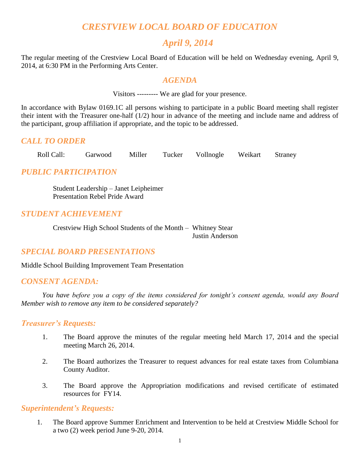# *CRESTVIEW LOCAL BOARD OF EDUCATION*

## *April 9, 2014*

The regular meeting of the Crestview Local Board of Education will be held on Wednesday evening, April 9, 2014, at 6:30 PM in the Performing Arts Center.

#### *AGENDA*

Visitors --------- We are glad for your presence.

In accordance with Bylaw 0169.1C all persons wishing to participate in a public Board meeting shall register their intent with the Treasurer one-half (1/2) hour in advance of the meeting and include name and address of the participant, group affiliation if appropriate, and the topic to be addressed.

## *CALL TO ORDER*

Roll Call: Garwood Miller Tucker Vollnogle Weikart Straney

## *PUBLIC PARTICIPATION*

Student Leadership – Janet Leipheimer Presentation Rebel Pride Award

## *STUDENT ACHIEVEMENT*

Crestview High School Students of the Month – Whitney Stear Justin Anderson

## *SPECIAL BOARD PRESENTATIONS*

Middle School Building Improvement Team Presentation

## *CONSENT AGENDA:*

*You have before you a copy of the items considered for tonight's consent agenda, would any Board Member wish to remove any item to be considered separately?*

#### *Treasurer's Requests:*

- 1. The Board approve the minutes of the regular meeting held March 17, 2014 and the special meeting March 26, 2014.
- 2. The Board authorizes the Treasurer to request advances for real estate taxes from Columbiana County Auditor.
- 3. The Board approve the Appropriation modifications and revised certificate of estimated resources for FY14.

#### *Superintendent's Requests:*

1. The Board approve Summer Enrichment and Intervention to be held at Crestview Middle School for a two (2) week period June 9-20, 2014.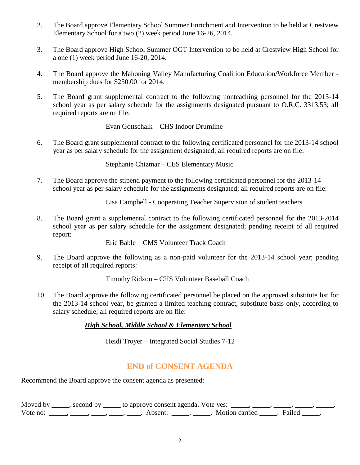- 2. The Board approve Elementary School Summer Enrichment and Intervention to be held at Crestview Elementary School for a two (2) week period June 16-26, 2014.
- 3. The Board approve High School Summer OGT Intervention to be held at Crestview High School for a one (1) week period June 16-20, 2014.
- 4. The Board approve the Mahoning Valley Manufacturing Coalition Education/Workforce Member membership dues for \$250.00 for 2014.
- 5. The Board grant supplemental contract to the following nonteaching personnel for the 2013-14 school year as per salary schedule for the assignments designated pursuant to O.R.C. 3313.53; all required reports are on file:

Evan Gottschalk – CHS Indoor Drumline

6. The Board grant supplemental contract to the following certificated personnel for the 2013-14 school year as per salary schedule for the assignment designated; all required reports are on file:

Stephanie Chizmar – CES Elementary Music

7. The Board approve the stipend payment to the following certificated personnel for the 2013-14 school year as per salary schedule for the assignments designated; all required reports are on file:

Lisa Campbell - Cooperating Teacher Supervision of student teachers

8. The Board grant a supplemental contract to the following certificated personnel for the 2013-2014 school year as per salary schedule for the assignment designated; pending receipt of all required report:

Eric Bable – CMS Volunteer Track Coach

9. The Board approve the following as a non-paid volunteer for the 2013-14 school year; pending receipt of all required reports:

Timothy Ridzon – CHS Volunteer Baseball Coach

10. The Board approve the following certificated personnel be placed on the approved substitute list for the 2013-14 school year, be granted a limited teaching contract, substitute basis only, according to salary schedule; all required reports are on file:

#### *High School, Middle School & Elementary School*

Heidi Troyer – Integrated Social Studies 7-12

## **END of CONSENT AGENDA**

Recommend the Board approve the consent agenda as presented:

Moved by \_\_\_\_, second by \_\_\_\_\_ to approve consent agenda. Vote yes: \_\_\_\_, \_\_\_\_, \_\_\_\_, Vote no: \_\_\_\_\_, \_\_\_\_, \_\_\_\_, \_\_\_\_, \_\_\_\_\_, Absent: \_\_\_\_\_, \_\_\_\_\_. Motion carried \_\_\_\_\_. Failed \_\_\_\_\_.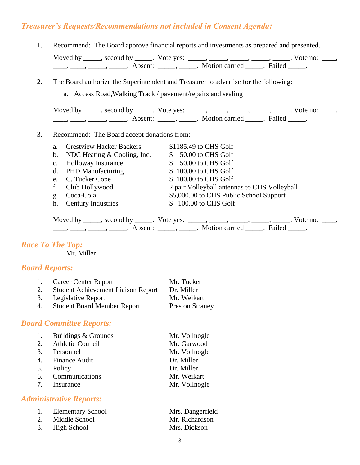## *Treasurer's Requests/Recommendations not included in Consent Agenda:*

- 1. Recommend: The Board approve financial reports and investments as prepared and presented. Moved by \_\_\_\_\_, second by \_\_\_\_\_. Vote yes:  $\_\_\_\_\_\_\_\_\_\_\_\_\_\_\_$  \_\_\_\_\_, \_\_\_\_\_, \_\_\_\_\_. Vote no:  $\_\_\_\_\_\_\$ \_\_\_\_\_, \_\_\_\_\_\_, \_\_\_\_\_\_\_. Absent: \_\_\_\_\_\_, \_\_\_\_\_\_. Motion carried \_\_\_\_\_\_. Failed \_\_\_\_\_.
- 2. The Board authorize the Superintendent and Treasurer to advertise for the following:
	- a. Access Road,Walking Track / pavement/repairs and sealing

Moved by \_\_\_\_\_, second by \_\_\_\_\_. Vote yes:  $\_\_\_\_\_\_\_\_\_\_\_\_\_\_\_$  \_\_\_\_\_, \_\_\_\_\_, \_\_\_\_\_. Vote no:  $\_\_\_\_\_\_\$ \_\_\_\_\_, \_\_\_\_\_\_, \_\_\_\_\_\_\_. Absent: \_\_\_\_\_\_, \_\_\_\_\_\_. Motion carried \_\_\_\_\_\_. Failed \_\_\_\_\_.

#### 3. Recommend: The Board accept donations from:

a. Crestview Hacker Backers \$1185.49 to CHS Golf b. NDC Heating  $& \text{Cooling}$ , Inc.  $\qquad$  \$ 50.00 to CHS Golf c. Holloway Insurance  $$ 50.00 \text{ to } CHS \text{ Golf}$ d. PHD Manufacturing  $$ 100.00$  to CHS Golf e. C. Tucker Cope  $$ 100.00$  to CHS Golf f. Club Hollywood 2 pair Volleyball antennas to CHS Volleyball g. Coca-Cola \$5,000.00 to CHS Public School Support h. Century Industries \$ 100.00 to CHS Golf

| Moved by second by |                     | Vote yes: |                     |        | vote no: |  |
|--------------------|---------------------|-----------|---------------------|--------|----------|--|
|                    | Absent <sup>.</sup> |           | Motion carried 2014 | Failed |          |  |

#### *Race To The Top:*

Mr. Miller

#### *Board Reports:*

| 1. | <b>Career Center Report</b>               | Mr. Tucker             |
|----|-------------------------------------------|------------------------|
| 2. | <b>Student Achievement Liaison Report</b> | Dr. Miller             |
|    | 3. Legislative Report                     | Mr. Weikart            |
| 4. | <b>Student Board Member Report</b>        | <b>Preston Straney</b> |

#### *Board Committee Reports:*

| 1. | Buildings & Grounds     | Mr. Vollnogle |
|----|-------------------------|---------------|
| 2. | <b>Athletic Council</b> | Mr. Garwood   |
|    | 3. Personnel            | Mr. Vollnogle |
|    | 4. Finance Audit        | Dr. Miller    |
| 5. | Policy                  | Dr. Miller    |
|    | 6. Communications       | Mr. Weikart   |
|    | 7. Insurance            | Mr. Vollnogle |

#### *Administrative Reports:*

| 1. | <b>Elementary School</b> | Mrs. Dangerfield |
|----|--------------------------|------------------|
| 2. | Middle School            | Mr. Richardson   |
|    | 3. High School           | Mrs. Dickson     |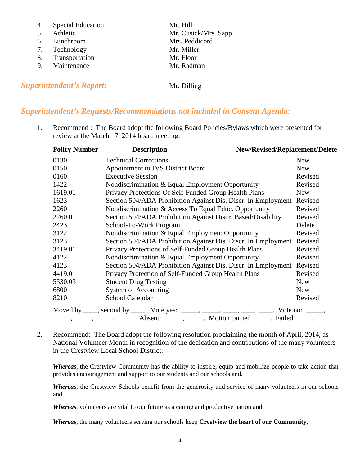- 4. Special Education Mr. Hill
- 
- 6. Lunchroom Mrs. Peddicord
- 7. Technology Mr. Miller
- 8. Transportation Mr. Floor
- 9. Maintenance Mr. Radman

**Superintendent's Report:** Mr. Dilling

5. Athletic Mr. Cusick/Mrs. Sapp

## *Superintendent's Requests/Recommendations not included in Consent Agenda:*

1. Recommend : The Board adopt the following Board Policies/Bylaws which were presented for review at the March 17, 2014 board meeting:

| <b>Policy Number</b> | <b>New/Revised/Replacement/Delete</b><br><b>Description</b>                             |            |
|----------------------|-----------------------------------------------------------------------------------------|------------|
| 0130                 | <b>Technical Corrections</b>                                                            | <b>New</b> |
| 0150                 | Appointment to JVS District Board                                                       | <b>New</b> |
| 0160                 | <b>Executive Session</b>                                                                | Revised    |
| 1422                 | Nondiscrimination & Equal Employment Opportunity                                        | Revised    |
| 1619.01              | Privacy Protections Of Self-Funded Group Health Plans                                   | <b>New</b> |
| 1623                 | Section 504/ADA Prohibition Against Dis. Discr. In Employment                           | Revised    |
| 2260                 | Nondiscrimination & Access To Equal Educ. Opportunity                                   | Revised    |
| 2260.01              | Section 504/ADA Prohibition Against Discr. Based/Disability                             | Revised    |
| 2423                 | School-To-Work Program                                                                  | Delete     |
| 3122                 | Nondiscrimination & Equal Employment Opportunity                                        | Revised    |
| 3123                 | Section 504/ADA Prohibition Against Dis. Discr. In Employment                           | Revised    |
| 3419.01              | Privacy Protections of Self-Funded Group Health Plans                                   | Revised    |
| 4122                 | Nondiscrimination & Equal Employment Opportunity                                        | Revised    |
| 4123                 | Section 504/ADA Prohibition Against Dis. Discr. In Employment                           | Revised    |
| 4419.01              | Privacy Protection of Self-Funded Group Health Plans                                    | Revised    |
| 5530.03              | <b>Student Drug Testing</b>                                                             | <b>New</b> |
| 6800                 | <b>System of Accounting</b>                                                             | <b>New</b> |
| 8210                 | School Calendar                                                                         | Revised    |
|                      | Moved by ____, second by ____. Vote yes: _____, ____, ____, ____, ____. Vote no: _____, |            |
|                      |                                                                                         |            |

2. Recommend: The Board adopt the following resolution proclaiming the month of April, 2014, as National Volunteer Month in recognition of the dedication and contributions of the many volunteers in the Crestview Local School District:

*Whereas*, the Crestview Community has the ability to inspire, equip and mobilize people to take action that provides encouragement and support to our students and our schools and,

*Whereas*, the Crestview Schools benefit from the generosity and service of many volunteers in our schools and,

*Whereas*, volunteers are vital to our future as a caning and productive nation and,

*Whereas*, the many volunteers serving our schools keep **Crestview the heart of our Community,**